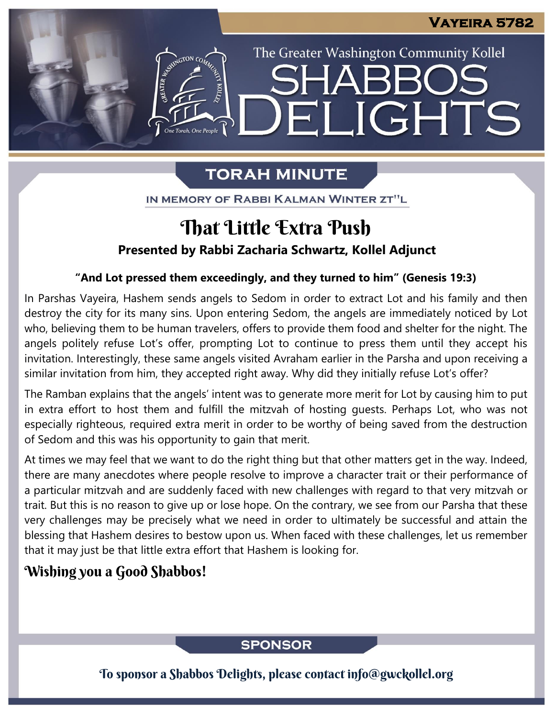The Greater Washington Community Kollel

LIGHTS

# **TORAH MINUTE**

FI

ASSEMBATON CO

IN MEMORY OF RABBI KALMAN WINTER ZT"L

# **Presented by Rabbi Zacharia Schwartz, Kollel Adjunct** That Little Extra Push

### **"And Lot pressed them exceedingly, and they turned to him" (Genesis 19:3)**

In Parshas Vayeira, Hashem sends angels to Sedom in order to extract Lot and his family and then destroy the city for its many sins. Upon entering Sedom, the angels are immediately noticed by Lot who, believing them to be human travelers, offers to provide them food and shelter for the night. The angels politely refuse Lot's offer, prompting Lot to continue to press them until they accept his invitation. Interestingly, these same angels visited Avraham earlier in the Parsha and upon receiving a similar invitation from him, they accepted right away. Why did they initially refuse Lot's offer?

The Ramban explains that the angels' intent was to generate more merit for Lot by causing him to put in extra effort to host them and fulfill the mitzvah of hosting guests. Perhaps Lot, who was not especially righteous, required extra merit in order to be worthy of being saved from the destruction of Sedom and this was his opportunity to gain that merit.

At times we may feel that we want to do the right thing but that other matters get in the way. Indeed, there are many anecdotes where people resolve to improve a character trait or their performance of a particular mitzvah and are suddenly faced with new challenges with regard to that very mitzvah or trait. But this is no reason to give up or lose hope. On the contrary, we see from our Parsha that these very challenges may be precisely what we need in order to ultimately be successful and attain the blessing that Hashem desires to bestow upon us. When faced with these challenges, let us remember that it may just be that little extra effort that Hashem is looking for.

## Wishing you a Good Shabbos!

## **SPONSOR**

To sponsor a Shabbos Delights, please contact info@gwckollel.org